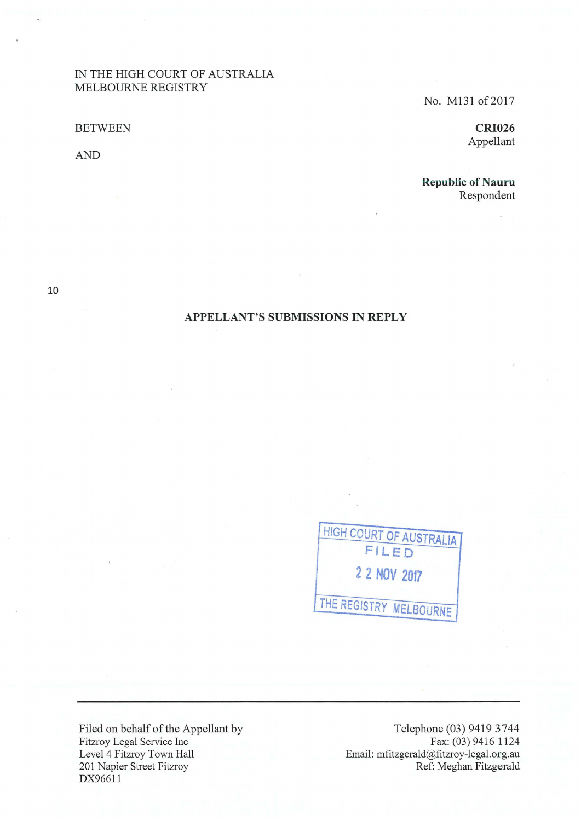# IN THE HIGH COURT OF AUSTRALIA MELBOURNE REGISTRY

BETWEEN

AND

No. M131 of 2017

**CRI026**  Appellant

**Republic of Nauru** Respondent

10

# **APPELLANT'S SUBMISSIONS IN REPLY**

HIGH **COURT OF AUSTRALIA FILED 2 2 NOV 2017 THE REGISTRY MELBOURNE** 

Filed on behalf of the Appellant by Fitzroy Legal Service Inc Level 4 Fitzroy Town Hall 201 Napier Street Fitzroy DX96611

Telephone (03) 9419 3744 Fax: (03) 9416 1124 Email: mfitzgerald@fitzroy-legal.org.au Ref: Meghan Fitzgerald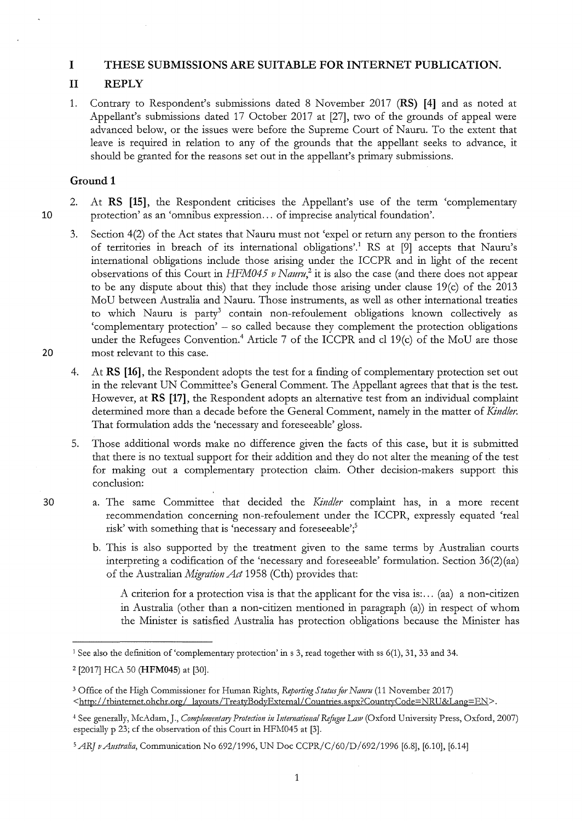## **I THESE SUBMISSIONS ARE SUITABLE FOR INTERNET PUBLICATION.**

# **11 REPLY**

1. Contrary to Respondent's submissions dated 8 November 2017 **(RS) [4]** and as noted at Appellant's submissions dated 17 October 2017 at [27], two of the grounds of appeal were advanced below, or the issues were before the Supreme Court of Nauru. To the extent that leave is required in relation to any of the grounds that the appellant seeks to advance, it should be granted for the reasons set out in the appellant's primary submissions.

## **Ground 1**

- 2. At **RS [15],** the Respondent criticises the Appellant's use of the term 'complementary 10 protection' as an 'omnibus expression ... of imprecise analytical foundation'.
- 3. Section 4(2) of the Act states that Naum must not 'expel or return any person to the frontiers of territories in breach of its international obligations'.<sup>1</sup> RS at [9] accepts that Nauru's international obligations include those arising under the ICCPR and in light of the recent observations of this Court in *HFM045 v Nauru*<sup>2</sup> it is also the case (and there does not appear to be any dispute about this) that they include those arising under clause 19(c) of the 2013 MoU between Australia and Nauru. Those instruments, as well as other international treaties to which Nauru is party<sup>3</sup> contain non-refoulement obligations known collectively as 'complementary protection' - so called because they complement the protection obligations under the Refugees Convention.<sup>4</sup> Article 7 of the ICCPR and cl 19(c) of the MoU are those 20 most relevant to this case.
	- 4. At **RS [16],** the Respondent adopts the test for a finding of complementary protection set out in the relevant UN Committee's General Comment. The Appellant agrees that that is the test. However, at **RS [17],** the Respondent adopts an alternative test from an individual complaint determined more than a decade before the General Comment, namely in the matter of *Kindler*. That formulation adds the 'necessary and foreseeable' gloss.
	- 5. Those additional words make no difference given the facts of this case, but it is submitted that there is no textual support for their addition and they do not alter the meaning of the test for making out a complementary protection claim. Other decision-makers support this conclusion:
- 30 a. The same Committee that decided the *Kindler* complaint has, in a more recent recommendation concerning non-refoulement under the ICCPR, expressly equated 'real risk' with something that is 'necessary and foreseeable';<sup>5</sup>
	- b. This is also supported by the treatment given to the same terms by Australian courts interpreting a codification of the 'necessary and foreseeable' formulation. Section  $36(2)(aa)$ of the Australian *Migration Act* 1958 (Cth) provides that:

A criterion for a protection visa is that the applicant for the visa is: ... (aa) a non-citizen in Australia (other than a non-citizen mentioned in paragraph (a)) in respect of whom the Minister is satisfied Australia has protection obligations because the Minister has

1

<sup>&</sup>lt;sup>1</sup> See also the definition of 'complementary protection' in s 3, read together with ss  $6(1)$ , 31, 33 and 34.

<sup>2 [2017]</sup> HCA 50 **(HFM045)** at [30].

<sup>3</sup> Office of the High Commissioner for Human Rights, *Reponing Status for Naurn* (11 November 2017) <http://tbinternet.ohchr.org/ layouts/TreatyBodyExternal/Countries.aspx?CountryCode=NRU&Lang=EN>.

<sup>4</sup>See generally, McAdam,J., *Complementary Protection in Intemational Refugee La1v* (Oxford University Press, Oxford, 2007) especially p 23; cf the observation of this Court in HFM045 at [3].

<sup>5</sup>*ARJ vAustralia,* Communication No 692/1996, UN Doe CCPR/C/60/D/692/1996 [6.8], [6.10], [6.14]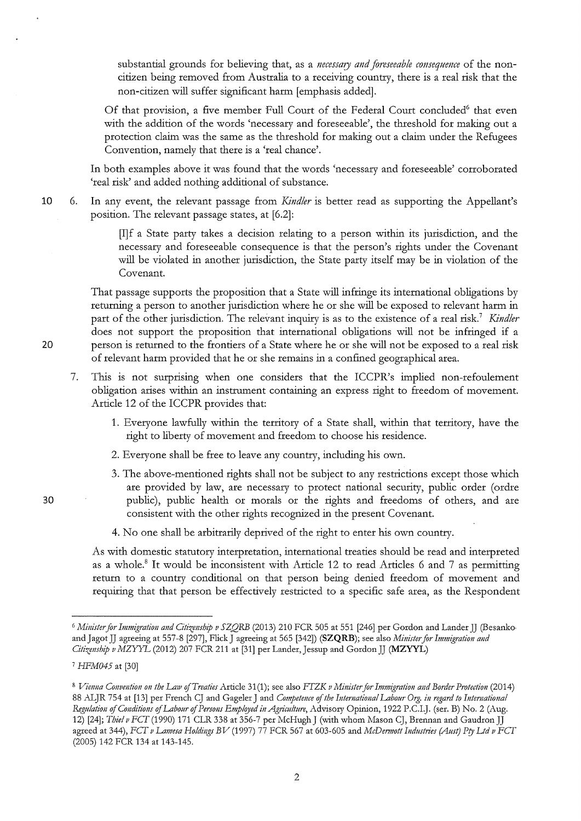substantial grounds for believing that, as a *necessary and foreseeable consequmce* of the noncitizen being removed from Australia to a receiving country, there is a real risk that the non-citizen will suffer significant harm [emphasis added].

Of that provision, a five member Full Court of the Federal Court concluded<sup>6</sup> that even with the addition of the words 'necessary and foreseeable', the threshold for making out a protection claim was the same as the threshold for making out a claim under the Refugees Convention, namely that there is a 'real chance'.

In both examples above it was found that the words 'necessary and foreseeable' corroborated 'real risk' and added nothing additional of substance.

**10** 6. In any event, the relevant passage from *Kind/er* is better read as supporting the Appellant's position. The relevant passage states, at [6.2]:

> [I]f a State party takes a decision relating to a person within its jurisdiction, and the necessary and foreseeable consequence is that the person's rights under the Covenant will be violated in another jurisdiction, the State party itself may be in violation of the Covenant.

That passage supports the proposition that a State will infringe its international obligations by returning a person to another jurisdiction where he or she will be exposed to relevant harm in part of the other jurisdiction. The relevant inquiry is as to the existence of a real risk.<sup>7</sup> *Kindler* does not support the proposition that international obligations will not be infringed if a **20** person is returned to the frontiers of a State where he or she will not be exposed to a real risk of relevant harm provided that he or she remains in a confined geographical area.

- 7. This is not surprising when one considers that the ICCPR's implied non-refoulement obligation arises within an instrument containing an express right to freedom of movement. Article 12 of the ICCPR provides that:
	- 1. Everyone lawfully within the territory of a State shall, within that territory, have the right to liberty of movement and freedom to choose his residence.
	- 2. Everyone shall be free to leave any country, including his own.
	- 3. The above-mentioned rights shall not be subject to any restrictions except those which are provided by law, are necessaty to protect national security, public order (ordre public), public health or morals or the rights and freedoms of others, and are consistent with the other tights tecognized in the present Covenant.
	- 4. No one shall be arbitrarily deprived of the right to enter his own country.

As with domestic statutory interpretation, international treaties should be read and interpreted as a whole.<sup>8</sup> It would be inconsistent with Article 12 to read Articles 6 and 7 as permitting return to a country conditional on that person being denied freedom of movement and requiring that that petson be effectively testricted to a specific safe area, as the Respondent

30

<sup>6</sup>*Minister for Immigration and Citizmsbip v SZQRB* (2013) 210 FCR 505 at 551 [246] per Gordon and Lander JJ (Besanko and Jagot JJ agreeing at 557-8 [297], Flick J agreeing at 565 [342]) **(SZQRB)**; see also *Minister for Immigration and Citizmship vMZYYL* (2012) 207 FCR 211 at [31] per Lander,Jessup and GordonJJ **(MZYYL)** 

<sup>7</sup>*HFM045* at [30]

<sup>8</sup>*Vimna Convention* 011 *the La1v ofT reaties* Article 31 (1 ); see also *FTZK v Mi11ister for Immigratio11 and Border Protectio11* (2014) 88 ALJR 754 at [13] per French CJ and Gageler J and *Competence of the International Labour Org. in regard to International Regulation of Co11ditiotzs of Labour of Persons Emplqyed in Agriculture,* Advisory Opinion, 1922 P.C.I.J. (ser. B) No. 2 (Aug. 12) [24]; *Thief v FCT* (1990) 171 CLR 338 at 356-7 per McHugh J (with whom Mason CJ, Brennan and Gaudron JJ agreed at 344), *FCT v Lamesa Holdings BV* (1997) 77 FCR 567 at 603-605 and *McDermott Industries (Aust) Pty Ltd v FCT* (2005) 142 FCR 134 at 143-145.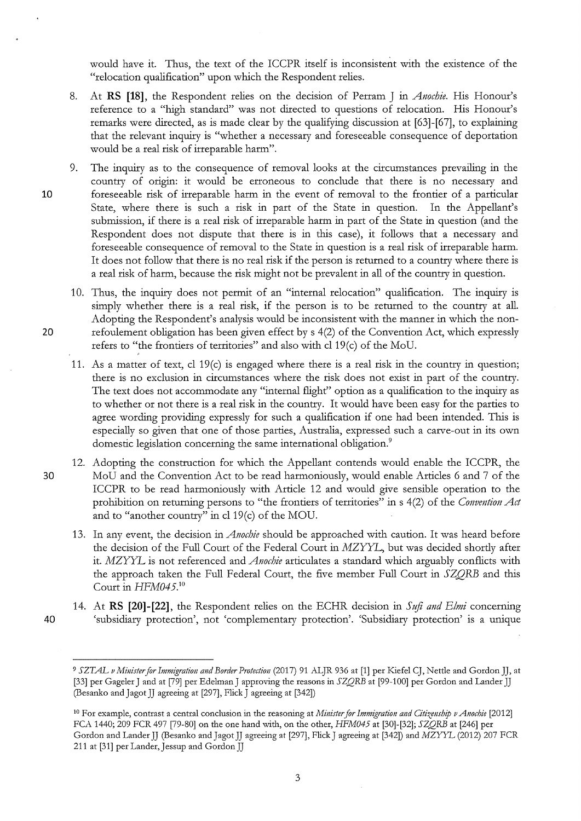would have it. Thus, the text of the ICCPR itself is inconsistent with the existence of the "relocation qualification" upon which the Respondent relies.

- 8. At **RS [18],** the Respondent relies on the decision of Perram J in *Anochie.* His Honour's reference to a "high standard" was not directed to questions of relocation. His Honour's remarks were directed, as is made clear by the qualifying discussion at [63]-[67], to explaining that the relevant inquiry is "whether a necessary and foreseeable consequence of deportation would be a real risk of irreparable harm".
- 9. The inquiry as to the consequence of removal looks at the circumstances prevailing in the country of origin: it would be erroneous to conclude that there is no necessary and 10 foreseeable risk of irreparable harm in the event of removal to the frontier of a particular State, where there is such a risk in part of the State in question. In the Appellant's submission, if there is a real risk of irreparable harm in part of the State in question (and the Respondent does not dispute that there is in this case), it follows that a necessary and foreseeable consequence of removal to the State in question is a real risk of irreparable harm. It does not follow that there is no real risk if the person is returned to a country where there is a real risk of harm, because the risk might not be prevalent in all of the country in question.
- 10. Thus, the inquiry does not permit of an "internal relocation" qualification. The inquiry is simply whether there is a real risk, if the person is to be returned to the country at all. Adopting the Respondent's analysis would be inconsistent with the manner in which the non-20 refoulement obligation has been given effect by s 4(2) of the Convention Act, which expressly refers to "the frontiers of territories" and also with cl19(c) of the MoU.
	- 11. As a matter of text, cl 19(c) is engaged where there is a real risk in the country in question; there is no exclusion in circumstances where the risk does not exist in part of the country. The text does not accommodate any "internal flight" option as a qualification to the inquiry as to whether or not there is a real risk in the country. It would have been easy for the parties to agree wording providing expressly for such a qualification if one had been intended. This is especially so given that one of those parties, Australia, expressed such a carve-out in its own domestic legislation concerning the same international obligation.<sup>9</sup>
- 12. Adopting the construction for which the Appellant contends would enable the ICCPR, the 30 MoU and the Convention Act to be read harmoniously, would enable Articles 6 and 7 of the ICCPR to be read harmoniously with Article 12 and would give sensible operation to the prohibition on returning persons to "the frontiers of territories" in s 4(2) of the *Convention Act* and to "another country" in cl  $19(c)$  of the MOU.
	- 13. In any event, the decision in *Anochie* should be approached with caution. It was heard before the decision of the Full Court of the Federal Court in MZYYL, but was decided shortly after it. MZYYL is not referenced and *Anochie* articulates a standard which arguably conflicts wid1 the approach taken the Full Federal Court, the five member Full Court in *SZQRB* and this Court in *HFM045. <sup>10</sup>*
- 14. At **RS [20]-[22],** the Respondent relies on the ECHR decision in *Szifi and Elmi* concerning 40 'subsidiary protection', not 'complementary protection'. 'Subsidiary protection' is a unique

<sup>9</sup>*SZTAL v Minister for Immigration and Border Protection* (2017) 91 ALJR 936 at [1] per Kiefel CJ, Nettle and GordonJJ, at [33] per Gageler J and at [79] per Edelman J approving the reasons in *SZQRB* at [99-100] per Gordon and Lander JJ (Besanko and Jagot JJ agreeing at [297], Flick J agreeing at [342])

<sup>&</sup>lt;sup>10</sup> For example, contrast a central conclusion in the reasoning at *Minister for Immigration and Citizenship v Anochie* [2012] FCA 1440; 209 FCR 497 [79-80] on the one hand with, on the other, *HFM045* at [30]-[32]; *SZQRB* at [246] per Gordon and Lander JJ (Besanko and Jagot JJ agreeing at [297], Flick J agreeing at [342]) and MZYYL (2012) 207 FCR 211 at [31] per Lander, Jessup and Gordon JJ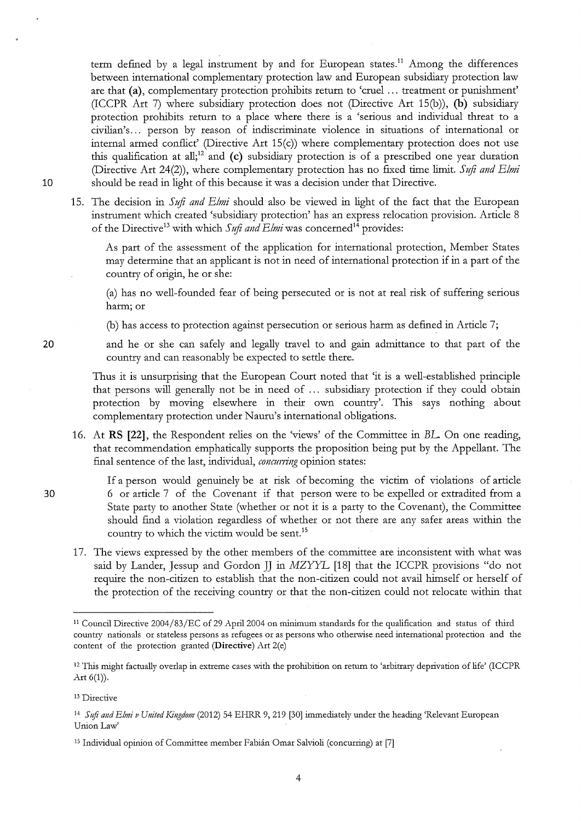term defined by a legal instrument by and for European states.<sup>11</sup> Among the differences between international complementary protection law and European subsidiary protection law are that **(a),** complementary protection prohibits return to 'cmel ... treatment or punishment' (ICCPR Art 7) where subsidiaty ptotection does not (Ditective Att 15(b)), **(b)** subsidiary protection prohibits return to a place where there is a 'serious and individual threat to a civilian's ... petson by reason of indiscriminate violence in situations of international ot internal atmed conflict' (Ditective Art 15(c)) whete complementary protection does not use this qualification at all;<sup>12</sup> and (c) subsidiary protection is of a prescribed one year duration (Directive Art 24(2)), where complementary protection has no fixed time limit. *Sufi and Elmi* 10 should be tead in light of this because it was a decision under that Ditective.

15. The decision in *Stiji a11d Elmi* should also be viewed in light of the fact that the European instrument which created 'subsidiary protection' has an express relocation provision. Article 8 of the Directive<sup>13</sup> with which *Sufi and Elmi* was concerned<sup>14</sup> provides:

As part of the assessment of the application for international protection, Member States may determine that an applicant is not in need of international protection if in a part of the country of origin, he ot she:

(a) has no well-founded feat of being petsecuted ot is not at teal tisk of suffering serious hatm; ot

(b) has access to protection against persecution or serious harm as defined in Article 7;

**20** and he or she can safely and legally travel to and gain admittance to that patt of the country and can teasonably be expected to settle thete.

> Thus it is unsurprising that the European Court noted that 'it is a well-established ptinciple that persons will generally not be in need of ... subsidiary protection if they could obtain protection by moving elsewhere in theit own country'. This says nothing about complementary protection under Nauru's international obligations.

- 16. At **RS [22],** the Respondent relies on the 'views' of the Committee in *BL* On one reading, that tecommendation emphatically suppotts the ptoposition being put by the Appellant. The final sentence of the last, individual, *concurring* opinion states:
- If a person would genuinely be at tisk of becoming the victim of violations of atticle 30 6 or article 7 of the Covenant if that person were to be expelled or extradited from a State patty to anothet State (whethet or not it is a patty to the Covenant), the Committee should find a violation regardless of whether or not there are any safer areas within the country to which the victim would be sent.<sup>15</sup>
	- 17. The views expressed by the othet membets of the committee ate inconsistent with what was said by Lander, Jessup and Gordon JJ in MZYYL [18] that the ICCPR provisions "do not require the non-citizen to establish that the non-citizen could not avail himself or herself of the ptotection of the teceiving country ot that the non-citizen could not relocate within that

4

<sup>11</sup> Council Directive 2004/83 /EC of 29 April 2004 on minimum standards for the qualification and status of third countty nationals or stateless persons as refugees or as persons who otherwise need international protection and the content of the protection granted **(Directive)** Art 2(e)

<sup>&</sup>lt;sup>12</sup> This might factually overlap in extreme cases with the prohibition on return to 'arbitrary deprivation of life' (ICCPR Art  $6(1)$ ).

<sup>13</sup> Directive

<sup>14</sup>*S tiji and Elmi v United Kingdom* (2012) 54 EHRR 9, 219 [30] immediately under the heading 'Relevant European Union Law'

<sup>15</sup> Individual opinion of Committee member Fabian Omar Salvioli (concurring) at [7]